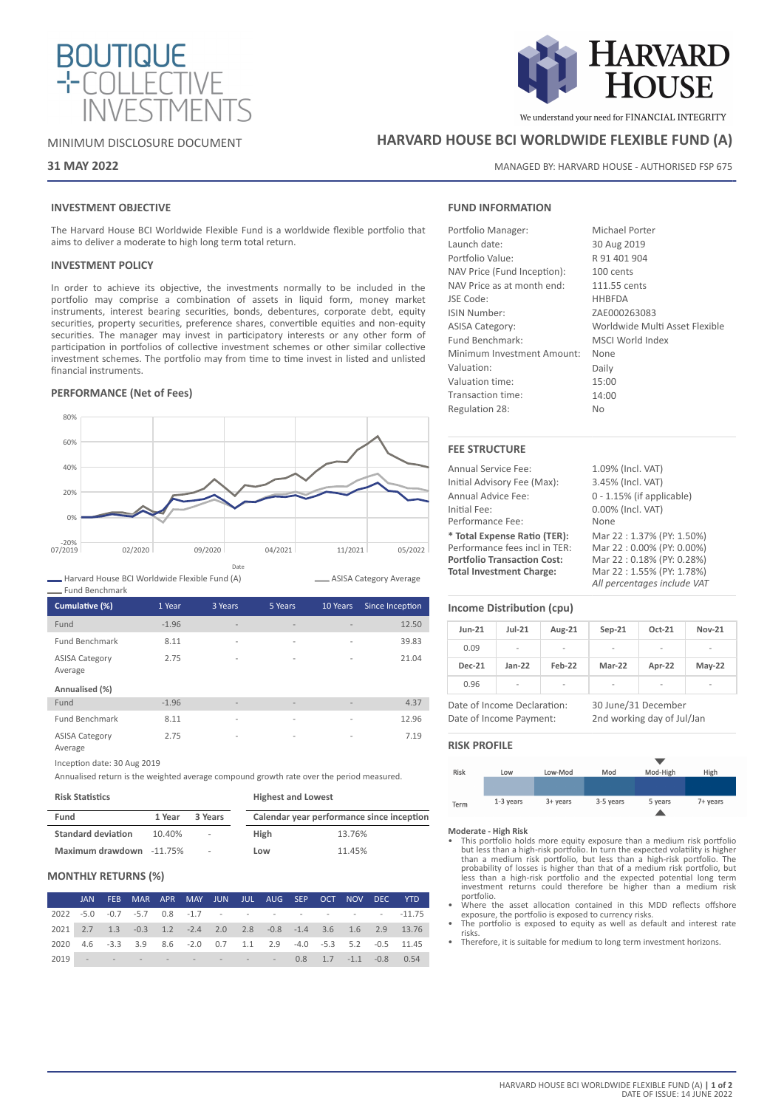



# **31 MAY 2022**

# **INVESTMENT OBJECTIVE**

The Harvard House BCI Worldwide Flexible Fund is a worldwide flexible portfolio that aims to deliver a moderate to high long term total return.

# **INVESTMENT POLICY**

In order to achieve its objective, the investments normally to be included in the portfolio may comprise a combination of assets in liquid form, money market instruments, interest bearing securities, bonds, debentures, corporate debt, equity securities, property securities, preference shares, convertible equities and non-equity securities. The manager may invest in participatory interests or any other form of participation in portfolios of collective investment schemes or other similar collective investment schemes. The portfolio may from time to time invest in listed and unlisted financial instruments.

# **PERFORMANCE (Net of Fees)**



Harvard House BCI Worldwide Flexible Fund (A) Fund Benchmark

| Cumulative (%)                   | 1 Year  | 3 Years                  | 5 Years                      | 10 Years                 | Since Inception |
|----------------------------------|---------|--------------------------|------------------------------|--------------------------|-----------------|
| Fund                             | $-1.96$ | $\overline{\phantom{a}}$ | $\qquad \qquad \blacksquare$ |                          | 12.50           |
| <b>Fund Benchmark</b>            | 8.11    | $\overline{\phantom{a}}$ | $\overline{\phantom{a}}$     | $\overline{a}$           | 39.83           |
| <b>ASISA Category</b><br>Average | 2.75    | $\overline{\phantom{a}}$ | $\overline{\phantom{a}}$     | $\overline{\phantom{a}}$ | 21.04           |
| Annualised (%)                   |         |                          |                              |                          |                 |
| Fund                             | $-1.96$ | $\overline{\phantom{a}}$ | $\overline{\phantom{a}}$     | $\overline{\phantom{a}}$ | 4.37            |
| <b>Fund Benchmark</b>            | 8.11    | $\overline{\phantom{a}}$ | $\overline{\phantom{a}}$     | $\overline{a}$           | 12.96           |
| <b>ASISA Category</b>            | 2.75    | -                        | $\overline{\phantom{a}}$     | $\overline{\phantom{a}}$ | 7.19            |

Average

Inception date: 30 Aug 2019

Annualised return is the weighted average compound growth rate over the period measured.

| <b>Risk Statistics</b>    |        |         | <b>Highest and Lowest</b> |                                           |  |
|---------------------------|--------|---------|---------------------------|-------------------------------------------|--|
| Fund                      | 1 Year | 3 Years |                           | Calendar year performance since inception |  |
| <b>Standard deviation</b> | 10.40% | $\sim$  | High                      | 13.76%                                    |  |
| Maximum drawdown -11.75%  |        | ٠       | Low                       | 11.45%                                    |  |

### **MONTHLY RETURNS (%)**

|  |  |  |  |  |  | JAN FEB MAR APR MAY JUN JUL AUG SEP OCT NOV DEC YTD             |
|--|--|--|--|--|--|-----------------------------------------------------------------|
|  |  |  |  |  |  | 2022 -5.0 -0.7 -5.7 0.8 -1.7 - - - - - - - - - - - -11.75       |
|  |  |  |  |  |  | 2021 2.7 1.3 -0.3 1.2 -2.4 2.0 2.8 -0.8 -1.4 3.6 1.6 2.9 13.76  |
|  |  |  |  |  |  | 2020 4.6 -3.3 3.9 8.6 -2.0 0.7 1.1 2.9 -4.0 -5.3 5.2 -0.5 11.45 |
|  |  |  |  |  |  | 2019 - - - - - - - - - - 0.8 1.7 -1.1 -0.8 0.54                 |



We understand your need for FINANCIAL INTEGRITY

# **HARVARD HOUSE BCI WORLDWIDE FLEXIBLE FUND (A)**

MANAGED BY: HARVARD HOUSE - AUTHORISED FSP 675

# **FUND INFORMATION**

| Portfolio Manager:          | Michael Porter                 |
|-----------------------------|--------------------------------|
| Launch date:                | 30 Aug 2019                    |
| Portfolio Value:            | R 91 401 904                   |
| NAV Price (Fund Inception): | 100 cents                      |
| NAV Price as at month end:  | 111.55 cents                   |
| JSE Code:                   | <b>HHBFDA</b>                  |
| <b>ISIN Number:</b>         | ZAE000263083                   |
| <b>ASISA Category:</b>      | Worldwide Multi Asset Flexible |
| Fund Benchmark:             | MSCI World Index               |
| Minimum Investment Amount:  | None                           |
| Valuation:                  | Daily                          |
| Valuation time:             | 15:00                          |
| Transaction time:           | 14:00                          |
| Regulation 28:              | N <sub>o</sub>                 |

# **FEE STRUCTURE**

| <b>Annual Service Fee:</b>         | 1.09% (Incl. VAT)            |
|------------------------------------|------------------------------|
| Initial Advisory Fee (Max):        | 3.45% (Incl. VAT)            |
| Annual Advice Fee:                 | $0 - 1.15\%$ (if applicable) |
| Initial Fee:                       | 0.00% (Incl. VAT)            |
| Performance Fee:                   | None                         |
| * Total Expense Ratio (TER):       | Mar 22:1.37% (PY: 1.50%)     |
| Performance fees incl in TER:      | Mar 22:0.00% (PY: 0.00%)     |
| <b>Portfolio Transaction Cost:</b> | Mar 22:0.18% (PY: 0.28%)     |
| <b>Total Investment Charge:</b>    | Mar 22:1.55% (PY: 1.78%)     |
|                                    | All percentages include VAT  |

### **Income Distribution (cpu)**

| <b>Jun-21</b> | $Jul-21$                 | Aug-21 | $Sep-21$                 | Oct-21                   | <b>Nov-21</b> |
|---------------|--------------------------|--------|--------------------------|--------------------------|---------------|
| 0.09          | $\overline{\phantom{a}}$ | -      | $\overline{\phantom{a}}$ | $\overline{\phantom{a}}$ | ۰             |
| <b>Dec-21</b> | $Jan-22$                 | Feb-22 | Mar-22                   | Apr-22                   | $May-22$      |
| 0.96          | $\overline{\phantom{a}}$ | -      | -                        | $\overline{\phantom{a}}$ | -             |

Date of Income Payment: 2nd working day of Jul/Jan

Date of Income Declaration: 30 June/31 December

### **RISK PROFILE**

ASISA Category Average



### **Moderate - High Risk**

- This portfolio holds more equity exposure than a medium risk portfolio but less than a high-risk portfolio. In turn the expected volatility is higher than a medium risk portfolio, but less than a high-risk portfolio. The probability of losses is higher than that of a medium risk portfolio, but less than a high-risk portfolio and the expected potential long term investment returns could therefore be higher than a medium risk portfolio.
- Where the asset allocation contained in this MDD reflects offshore exposure, the portfolio is exposed to currency risks. • The portfolio is exposed to equity as well as default and interest rate
- risks.
- Therefore, it is suitable for medium to long term investment horizons.